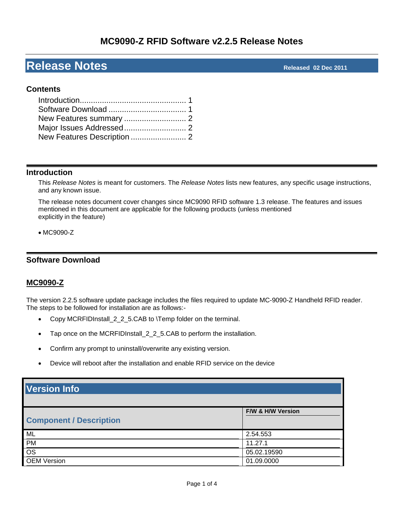# **MC9090-Z RFID Software v2.2.5 Release Notes**

# **Release Notes Released 02 Dec <sup>2011</sup>**

# **Contents**

## <span id="page-0-0"></span>**Introduction**

This *Release Notes* is meant for customers. The *Release Notes* lists new features, any specific usage instructions, and any known issue.

The release notes document cover changes since MC9090 RFID software 1.3 release. The features and issues mentioned in this document are applicable for the following products (unless mentioned explicitly in the feature)

### MC9090-Z

# <span id="page-0-1"></span>**Software Download**

# **MC9090-Z**

The version 2.2.5 software update package includes the files required to update MC-9090-Z Handheld RFID reader. The steps to be followed for installation are as follows:-

- Copy MCRFIDInstall\_2\_2\_5.CAB to \Temp folder on the terminal.
- Tap once on the MCRFIDInstall\_2\_2\_5.CAB to perform the installation.
- Confirm any prompt to uninstall/overwrite any existing version.
- Device will reboot after the installation and enable RFID service on the device

| <b>Version Info</b>            |                   |  |
|--------------------------------|-------------------|--|
| <b>Component / Description</b> | F/W & H/W Version |  |
| ML                             | 2.54.553          |  |
| <b>PM</b>                      | 11.27.1           |  |
| $\overline{\text{os}}$         | 05.02.19590       |  |
| <b>OEM Version</b>             | 01.09.0000        |  |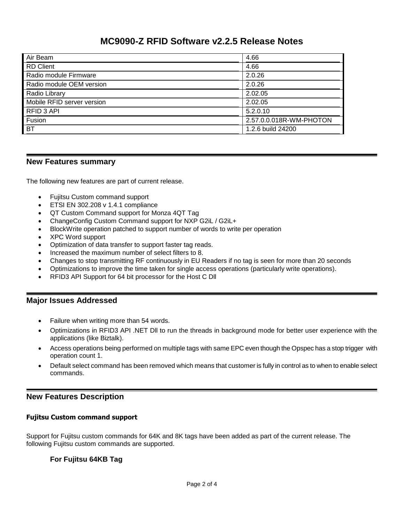# **MC9090-Z RFID Software v2.2.5 Release Notes**

| Air Beam                   | 4.66                    |
|----------------------------|-------------------------|
| <b>RD</b> Client           | 4.66                    |
| Radio module Firmware      | 2.0.26                  |
| Radio module OEM version   | 2.0.26                  |
| Radio Library              | 2.02.05                 |
| Mobile RFID server version | 2.02.05                 |
| RFID 3 API                 | 5.2.0.10                |
| Fusion                     | 2.57.0.0.018R-WM-PHOTON |
| <b>BT</b>                  | 1.2.6 build 24200       |

## <span id="page-1-0"></span>**New Features summary**

The following new features are part of current release.

- Fujitsu Custom command support
- **ETSI EN 302.208 v 1.4.1 compliance**
- QT Custom Command support for Monza 4QT Tag
- ChangeConfig Custom Command support for NXP G2iL / G2iL+
- BlockWrite operation patched to support number of words to write per operation
- XPC Word support
- Optimization of data transfer to support faster tag reads.
- Increased the maximum number of select filters to 8.
- Changes to stop transmitting RF continuously in EU Readers if no tag is seen for more than 20 seconds
- Optimizations to improve the time taken for single access operations (particularly write operations).
- <span id="page-1-1"></span>RFID3 API Support for 64 bit processor for the Host C Dll

### **Major Issues Addressed**

- Failure when writing more than 54 words.
- Optimizations in RFID3 API .NET Dll to run the threads in background mode for better user experience with the applications (like Biztalk).
- Access operations being performed on multiple tags with same EPC even though the Opspec has a stop trigger with operation count 1.
- Default select command has been removed which means that customer is fully in control as to when to enable select commands.

# <span id="page-1-2"></span>**New Features Description**

#### **Fujitsu Custom command support**

Support for Fujitsu custom commands for 64K and 8K tags have been added as part of the current release. The following Fujitsu custom commands are supported.

# **For Fujitsu 64KB Tag**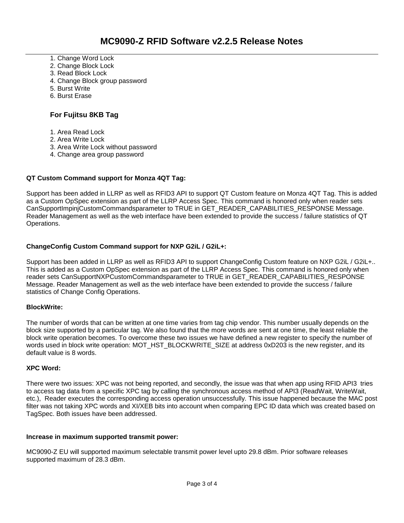- 1. Change Word Lock
- 2. Change Block Lock
- 3. Read Block Lock
- 4. Change Block group password
- 5. Burst Write
- 6. Burst Erase

# **For Fujitsu 8KB Tag**

- 1. Area Read Lock
- 2. Area Write Lock
- 3. Area Write Lock without password
- 4. Change area group password

## **QT Custom Command support for Monza 4QT Tag:**

Support has been added in LLRP as well as RFID3 API to support QT Custom feature on Monza 4QT Tag. This is added as a Custom OpSpec extension as part of the LLRP Access Spec. This command is honored only when reader sets CanSupportImpinjCustomCommandsparameter to TRUE in GET\_READER\_CAPABILITIES\_RESPONSE Message. Reader Management as well as the web interface have been extended to provide the success / failure statistics of QT Operations.

### **ChangeConfig Custom Command support for NXP G2iL / G2iL+:**

Support has been added in LLRP as well as RFID3 API to support ChangeConfig Custom feature on NXP G2iL / G2iL+.. This is added as a Custom OpSpec extension as part of the LLRP Access Spec. This command is honored only when reader sets CanSupportNXPCustomCommandsparameter to TRUE in GET\_READER\_CAPABILITIES\_RESPONSE Message. Reader Management as well as the web interface have been extended to provide the success / failure statistics of Change Config Operations.

### **BlockWrite:**

The number of words that can be written at one time varies from tag chip vendor. This number usually depends on the block size supported by a particular tag. We also found that the more words are sent at one time, the least reliable the block write operation becomes. To overcome these two issues we have defined a new register to specify the number of words used in block write operation: MOT\_HST\_BLOCKWRITE\_SIZE at address 0xD203 is the new register, and its default value is 8 words.

### **XPC Word:**

There were two issues: XPC was not being reported, and secondly, the issue was that when app using RFID API3 tries to access tag data from a specific XPC tag by calling the synchronous access method of API3 (ReadWait, WriteWait, etc.), Reader executes the corresponding access operation unsuccessfully. This issue happened because the MAC post filter was not taking XPC words and XI/XEB bits into account when comparing EPC ID data which was created based on TagSpec. Both issues have been addressed.

#### **Increase in maximum supported transmit power:**

MC9090-Z EU will supported maximum selectable transmit power level upto 29.8 dBm. Prior software releases supported maximum of 28.3 dBm.